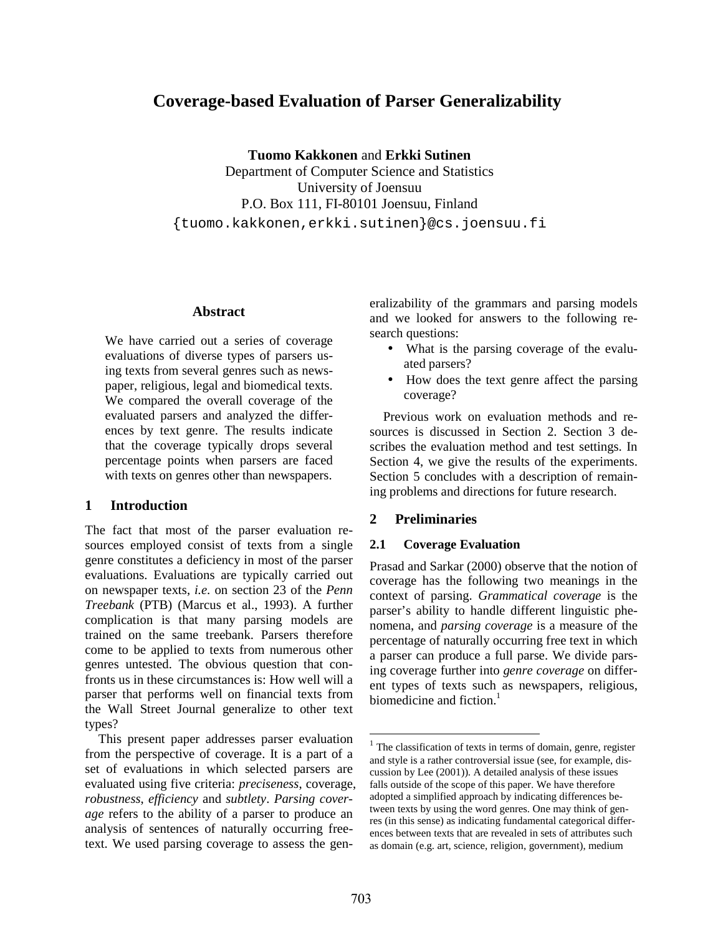# **Coverage-based Evaluation of Parser Generalizability**

**Tuomo Kakkonen** and **Erkki Sutinen** 

Department of Computer Science and Statistics University of Joensuu P.O. Box 111, FI-80101 Joensuu, Finland {tuomo.kakkonen,erkki.sutinen}@cs.joensuu.fi

#### **Abstract**

We have carried out a series of coverage evaluations of diverse types of parsers using texts from several genres such as newspaper, religious, legal and biomedical texts. We compared the overall coverage of the evaluated parsers and analyzed the differences by text genre. The results indicate that the coverage typically drops several percentage points when parsers are faced with texts on genres other than newspapers.

#### **1 Introduction**

The fact that most of the parser evaluation resources employed consist of texts from a single genre constitutes a deficiency in most of the parser evaluations. Evaluations are typically carried out on newspaper texts, *i.e.* on section 23 of the *Penn Treebank* (PTB) (Marcus et al., 1993). A further complication is that many parsing models are trained on the same treebank. Parsers therefore come to be applied to texts from numerous other genres untested. The obvious question that confronts us in these circumstances is: How well will a parser that performs well on financial texts from the Wall Street Journal generalize to other text types?

This present paper addresses parser evaluation from the perspective of coverage. It is a part of a set of evaluations in which selected parsers are evaluated using five criteria: *preciseness*, coverage, *robustness*, *efficiency* and *subtlety*. *Parsing coverage* refers to the ability of a parser to produce an analysis of sentences of naturally occurring freetext. We used parsing coverage to assess the generalizability of the grammars and parsing models and we looked for answers to the following research questions:

- What is the parsing coverage of the evaluated parsers?
- How does the text genre affect the parsing coverage?

Previous work on evaluation methods and resources is discussed in Section 2. Section 3 describes the evaluation method and test settings. In Section 4, we give the results of the experiments. Section 5 concludes with a description of remaining problems and directions for future research.

## **2 Preliminaries**

#### **2.1 Coverage Evaluation**

Prasad and Sarkar (2000) observe that the notion of coverage has the following two meanings in the context of parsing. *Grammatical coverage* is the parser's ability to handle different linguistic phenomena, and *parsing coverage* is a measure of the percentage of naturally occurring free text in which a parser can produce a full parse. We divide parsing coverage further into *genre coverage* on different types of texts such as newspapers, religious, biomedicine and fiction.<sup>1</sup>

<sup>&</sup>lt;sup>1</sup> The classification of texts in terms of domain, genre, register and style is a rather controversial issue (see, for example, discussion by Lee (2001)). A detailed analysis of these issues falls outside of the scope of this paper. We have therefore adopted a simplified approach by indicating differences between texts by using the word genres. One may think of genres (in this sense) as indicating fundamental categorical differences between texts that are revealed in sets of attributes such as domain (e.g. art, science, religion, government), medium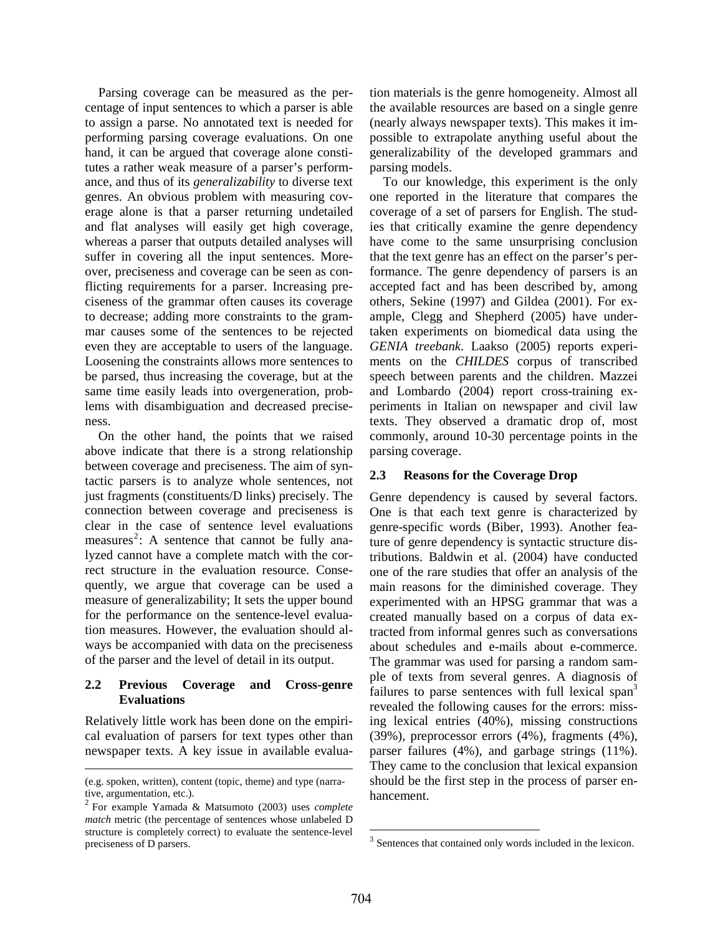Parsing coverage can be measured as the percentage of input sentences to which a parser is able to assign a parse. No annotated text is needed for performing parsing coverage evaluations. On one hand, it can be argued that coverage alone constitutes a rather weak measure of a parser's performance, and thus of its *generalizability* to diverse text genres. An obvious problem with measuring coverage alone is that a parser returning undetailed and flat analyses will easily get high coverage, whereas a parser that outputs detailed analyses will suffer in covering all the input sentences. Moreover, preciseness and coverage can be seen as conflicting requirements for a parser. Increasing preciseness of the grammar often causes its coverage to decrease; adding more constraints to the grammar causes some of the sentences to be rejected even they are acceptable to users of the language. Loosening the constraints allows more sentences to be parsed, thus increasing the coverage, but at the same time easily leads into overgeneration, problems with disambiguation and decreased preciseness.

On the other hand, the points that we raised above indicate that there is a strong relationship between coverage and preciseness. The aim of syntactic parsers is to analyze whole sentences, not just fragments (constituents/D links) precisely. The connection between coverage and preciseness is clear in the case of sentence level evaluations measures<sup>2</sup>: A sentence that cannot be fully analyzed cannot have a complete match with the correct structure in the evaluation resource. Consequently, we argue that coverage can be used a measure of generalizability; It sets the upper bound for the performance on the sentence-level evaluation measures. However, the evaluation should always be accompanied with data on the preciseness of the parser and the level of detail in its output.

## **2.2 Previous Coverage and Cross-genre Evaluations**

Relatively little work has been done on the empirical evaluation of parsers for text types other than newspaper texts. A key issue in available evalua-

tion materials is the genre homogeneity. Almost all the available resources are based on a single genre (nearly always newspaper texts). This makes it impossible to extrapolate anything useful about the generalizability of the developed grammars and parsing models.

To our knowledge, this experiment is the only one reported in the literature that compares the coverage of a set of parsers for English. The studies that critically examine the genre dependency have come to the same unsurprising conclusion that the text genre has an effect on the parser's performance. The genre dependency of parsers is an accepted fact and has been described by, among others, Sekine (1997) and Gildea (2001). For example, Clegg and Shepherd (2005) have undertaken experiments on biomedical data using the *GENIA treebank*. Laakso (2005) reports experiments on the *CHILDES* corpus of transcribed speech between parents and the children. Mazzei and Lombardo (2004) report cross-training experiments in Italian on newspaper and civil law texts. They observed a dramatic drop of, most commonly, around 10-30 percentage points in the parsing coverage.

# **2.3 Reasons for the Coverage Drop**

Genre dependency is caused by several factors. One is that each text genre is characterized by genre-specific words (Biber, 1993). Another feature of genre dependency is syntactic structure distributions. Baldwin et al. (2004) have conducted one of the rare studies that offer an analysis of the main reasons for the diminished coverage. They experimented with an HPSG grammar that was a created manually based on a corpus of data extracted from informal genres such as conversations about schedules and e-mails about e-commerce. The grammar was used for parsing a random sample of texts from several genres. A diagnosis of failures to parse sentences with full lexical span<sup>3</sup> revealed the following causes for the errors: missing lexical entries (40%), missing constructions (39%), preprocessor errors (4%), fragments (4%), parser failures (4%), and garbage strings (11%). They came to the conclusion that lexical expansion should be the first step in the process of parser enhancement.

<sup>(</sup>e.g. spoken, written), content (topic, theme) and type (narrative, argumentation, etc.).

<sup>2</sup> For example Yamada & Matsumoto (2003) uses *complete match* metric (the percentage of sentences whose unlabeled D structure is completely correct) to evaluate the sentence-level preciseness of D parsers.

<sup>&</sup>lt;sup>3</sup> Sentences that contained only words included in the lexicon.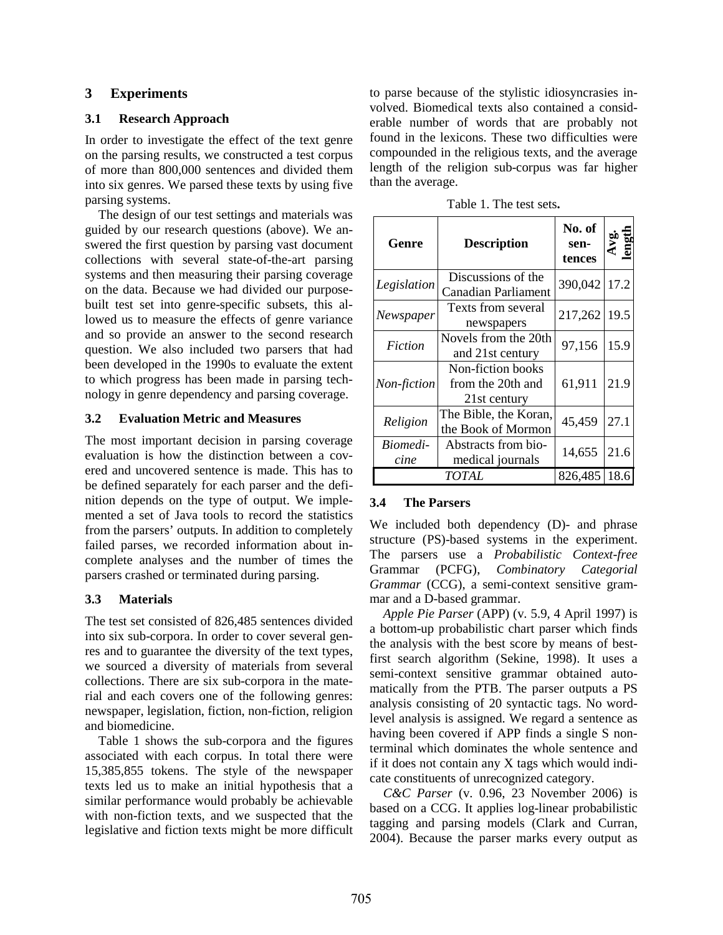# **3 Experiments**

#### **3.1 Research Approach**

In order to investigate the effect of the text genre on the parsing results, we constructed a test corpus of more than 800,000 sentences and divided them into six genres. We parsed these texts by using five parsing systems.

The design of our test settings and materials was guided by our research questions (above). We answered the first question by parsing vast document collections with several state-of-the-art parsing systems and then measuring their parsing coverage on the data. Because we had divided our purposebuilt test set into genre-specific subsets, this allowed us to measure the effects of genre variance and so provide an answer to the second research question. We also included two parsers that had been developed in the 1990s to evaluate the extent to which progress has been made in parsing technology in genre dependency and parsing coverage.

## **3.2 Evaluation Metric and Measures**

The most important decision in parsing coverage evaluation is how the distinction between a covered and uncovered sentence is made. This has to be defined separately for each parser and the definition depends on the type of output. We implemented a set of Java tools to record the statistics from the parsers' outputs. In addition to completely failed parses, we recorded information about incomplete analyses and the number of times the parsers crashed or terminated during parsing.

## **3.3 Materials**

The test set consisted of 826,485 sentences divided into six sub-corpora. In order to cover several genres and to guarantee the diversity of the text types, we sourced a diversity of materials from several collections. There are six sub-corpora in the material and each covers one of the following genres: newspaper, legislation, fiction, non-fiction, religion and biomedicine.

Table 1 shows the sub-corpora and the figures associated with each corpus. In total there were 15,385,855 tokens. The style of the newspaper texts led us to make an initial hypothesis that a similar performance would probably be achievable with non-fiction texts, and we suspected that the legislative and fiction texts might be more difficult to parse because of the stylistic idiosyncrasies involved. Biomedical texts also contained a considerable number of words that are probably not found in the lexicons. These two difficulties were compounded in the religious texts, and the average length of the religion sub-corpus was far higher than the average.

|  | Table 1. The test sets. |  |  |  |  |
|--|-------------------------|--|--|--|--|
|--|-------------------------|--|--|--|--|

| Genre            | <b>Description</b>                                     | No. of<br>sen-<br>tences | Š.,  |
|------------------|--------------------------------------------------------|--------------------------|------|
| Legislation      | Discussions of the<br>Canadian Parliament              | 390,042                  | 17.2 |
| Newspaper        | Texts from several<br>newspapers                       | 217,262                  | 19.5 |
| Fiction          | Novels from the 20th<br>and 21st century               | 97,156                   | 15.9 |
| Non-fiction      | Non-fiction books<br>from the 20th and<br>21st century | 61,911                   | 21.9 |
| Religion         | The Bible, the Koran,<br>the Book of Mormon            | 45,459                   | 27.1 |
| Biomedi-<br>cine | Abstracts from bio-<br>medical journals                | 14,655                   | 21.6 |
|                  | <i>TOTAL</i>                                           | 826,485                  | 18.6 |

## **3.4 The Parsers**

We included both dependency (D)- and phrase structure (PS)-based systems in the experiment. The parsers use a *Probabilistic Context-free*  Grammar (PCFG), *Combinatory Categorial Grammar* (CCG), a semi-context sensitive grammar and a D-based grammar.

*Apple Pie Parser* (APP) (v. 5.9, 4 April 1997) is a bottom-up probabilistic chart parser which finds the analysis with the best score by means of bestfirst search algorithm (Sekine, 1998). It uses a semi-context sensitive grammar obtained automatically from the PTB. The parser outputs a PS analysis consisting of 20 syntactic tags. No wordlevel analysis is assigned. We regard a sentence as having been covered if APP finds a single S nonterminal which dominates the whole sentence and if it does not contain any X tags which would indicate constituents of unrecognized category.

*C&C Parser* (v. 0.96, 23 November 2006) is based on a CCG. It applies log-linear probabilistic tagging and parsing models (Clark and Curran, 2004). Because the parser marks every output as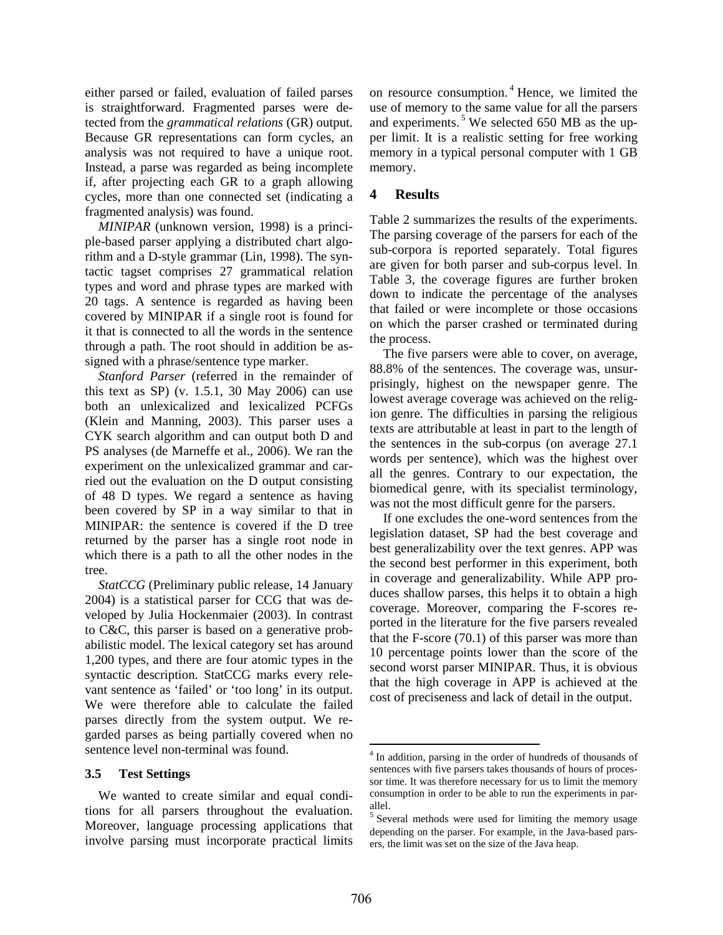either parsed or failed, evaluation of failed parses is straightforward. Fragmented parses were detected from the *grammatical relations* (GR) output. Because GR representations can form cycles, an analysis was not required to have a unique root. Instead, a parse was regarded as being incomplete if, after projecting each GR to a graph allowing cycles, more than one connected set (indicating a fragmented analysis) was found.

*MINIPAR* (unknown version, 1998) is a principle-based parser applying a distributed chart algorithm and a D-style grammar (Lin, 1998). The syntactic tagset comprises 27 grammatical relation types and word and phrase types are marked with 20 tags. A sentence is regarded as having been covered by MINIPAR if a single root is found for it that is connected to all the words in the sentence through a path. The root should in addition be assigned with a phrase/sentence type marker.

*Stanford Parser* (referred in the remainder of this text as SP) (v. 1.5.1, 30 May 2006) can use both an unlexicalized and lexicalized PCFGs (Klein and Manning, 2003). This parser uses a CYK search algorithm and can output both D and PS analyses (de Marneffe et al., 2006). We ran the experiment on the unlexicalized grammar and carried out the evaluation on the D output consisting of 48 D types. We regard a sentence as having been covered by SP in a way similar to that in MINIPAR: the sentence is covered if the D tree returned by the parser has a single root node in which there is a path to all the other nodes in the tree.

*StatCCG* (Preliminary public release, 14 January 2004) is a statistical parser for CCG that was developed by Julia Hockenmaier (2003). In contrast to C&C, this parser is based on a generative probabilistic model. The lexical category set has around 1,200 types, and there are four atomic types in the syntactic description. StatCCG marks every relevant sentence as 'failed' or 'too long' in its output. We were therefore able to calculate the failed parses directly from the system output. We regarded parses as being partially covered when no sentence level non-terminal was found.

#### **3.5 Test Settings**

We wanted to create similar and equal conditions for all parsers throughout the evaluation. Moreover, language processing applications that involve parsing must incorporate practical limits on resource consumption.<sup>4</sup> Hence, we limited the use of memory to the same value for all the parsers and experiments. $5$  We selected 650 MB as the upper limit. It is a realistic setting for free working memory in a typical personal computer with 1 GB memory.

# **4 Results**

Table 2 summarizes the results of the experiments. The parsing coverage of the parsers for each of the sub-corpora is reported separately. Total figures are given for both parser and sub-corpus level. In Table 3, the coverage figures are further broken down to indicate the percentage of the analyses that failed or were incomplete or those occasions on which the parser crashed or terminated during the process.

The five parsers were able to cover, on average, 88.8% of the sentences. The coverage was, unsurprisingly, highest on the newspaper genre. The lowest average coverage was achieved on the religion genre. The difficulties in parsing the religious texts are attributable at least in part to the length of the sentences in the sub-corpus (on average 27.1 words per sentence), which was the highest over all the genres. Contrary to our expectation, the biomedical genre, with its specialist terminology, was not the most difficult genre for the parsers.

If one excludes the one-word sentences from the legislation dataset, SP had the best coverage and best generalizability over the text genres. APP was the second best performer in this experiment, both in coverage and generalizability. While APP produces shallow parses, this helps it to obtain a high coverage. Moreover, comparing the F-scores reported in the literature for the five parsers revealed that the F-score (70.1) of this parser was more than 10 percentage points lower than the score of the second worst parser MINIPAR. Thus, it is obvious that the high coverage in APP is achieved at the cost of preciseness and lack of detail in the output.

<sup>&</sup>lt;sup>4</sup> In addition, parsing in the order of hundreds of thousands of sentences with five parsers takes thousands of hours of processor time. It was therefore necessary for us to limit the memory consumption in order to be able to run the experiments in parallel.

<sup>&</sup>lt;sup>5</sup> Several methods were used for limiting the memory usage depending on the parser. For example, in the Java-based parsers, the limit was set on the size of the Java heap.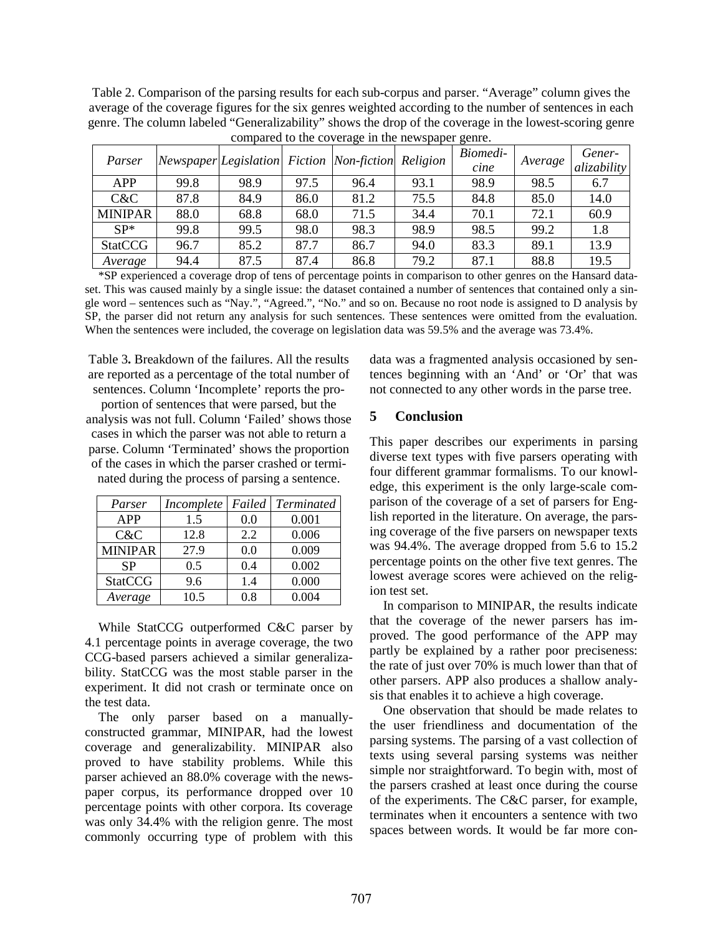Table 2. Comparison of the parsing results for each sub-corpus and parser. "Average" column gives the average of the coverage figures for the six genres weighted according to the number of sentences in each genre. The column labeled "Generalizability" shows the drop of the coverage in the lowest-scoring genre compared to the coverage in the newspaper genre.

| compared to the coverage in the newspaper genre. |      |                                           |      |      |          |                  |         |                       |
|--------------------------------------------------|------|-------------------------------------------|------|------|----------|------------------|---------|-----------------------|
| Parser                                           |      | Newspaper Legislation Fiction Non-fiction |      |      | Religion | Biomedi-<br>cine | Average | Gener-<br>alizability |
| <b>APP</b>                                       | 99.8 | 98.9                                      | 97.5 | 96.4 | 93.1     | 98.9             | 98.5    | 6.7                   |
| C&C                                              | 87.8 | 84.9                                      | 86.0 | 81.2 | 75.5     | 84.8             | 85.0    | 14.0                  |
| <b>MINIPAR</b>                                   | 88.0 | 68.8                                      | 68.0 | 71.5 | 34.4     | 70.1             | 72.1    | 60.9                  |
| $SP^*$                                           | 99.8 | 99.5                                      | 98.0 | 98.3 | 98.9     | 98.5             | 99.2    | 1.8                   |
| <b>StatCCG</b>                                   | 96.7 | 85.2                                      | 87.7 | 86.7 | 94.0     | 83.3             | 89.1    | 13.9                  |
| Average                                          | 94.4 | 87.5                                      | 87.4 | 86.8 | 79.2     | 87.1             | 88.8    | 19.5                  |

\*SP experienced a coverage drop of tens of percentage points in comparison to other genres on the Hansard dataset. This was caused mainly by a single issue: the dataset contained a number of sentences that contained only a single word – sentences such as "Nay.", "Agreed.", "No." and so on. Because no root node is assigned to D analysis by SP, the parser did not return any analysis for such sentences. These sentences were omitted from the evaluation. When the sentences were included, the coverage on legislation data was 59.5% and the average was 73.4%.

Table 3**.** Breakdown of the failures. All the results are reported as a percentage of the total number of sentences. Column 'Incomplete' reports the pro-

portion of sentences that were parsed, but the analysis was not full. Column 'Failed' shows those cases in which the parser was not able to return a parse. Column 'Terminated' shows the proportion of the cases in which the parser crashed or terminated during the process of parsing a sentence.

| Parser         | Incomplete | Failed | <b>Terminated</b> |
|----------------|------------|--------|-------------------|
| <b>APP</b>     | 1.5        | 0.0    | 0.001             |
| C&C            | 12.8       | 2.2    | 0.006             |
| <b>MINIPAR</b> | 27.9       | 0.0    | 0.009             |
| <b>SP</b>      | 0.5        | 0.4    | 0.002             |
| <b>StatCCG</b> | 9.6        | 1.4    | 0.000             |
| Average        | 10.5       | 0.8    | 0.004             |

While StatCCG outperformed C&C parser by 4.1 percentage points in average coverage, the two CCG-based parsers achieved a similar generalizability. StatCCG was the most stable parser in the experiment. It did not crash or terminate once on the test data.

The only parser based on a manuallyconstructed grammar, MINIPAR, had the lowest coverage and generalizability. MINIPAR also proved to have stability problems. While this parser achieved an 88.0% coverage with the newspaper corpus, its performance dropped over 10 percentage points with other corpora. Its coverage was only 34.4% with the religion genre. The most commonly occurring type of problem with this data was a fragmented analysis occasioned by sentences beginning with an 'And' or 'Or' that was not connected to any other words in the parse tree.

# **5 Conclusion**

This paper describes our experiments in parsing diverse text types with five parsers operating with four different grammar formalisms. To our knowledge, this experiment is the only large-scale comparison of the coverage of a set of parsers for English reported in the literature. On average, the parsing coverage of the five parsers on newspaper texts was 94.4%. The average dropped from 5.6 to 15.2 percentage points on the other five text genres. The lowest average scores were achieved on the religion test set.

In comparison to MINIPAR, the results indicate that the coverage of the newer parsers has improved. The good performance of the APP may partly be explained by a rather poor preciseness: the rate of just over 70% is much lower than that of other parsers. APP also produces a shallow analysis that enables it to achieve a high coverage.

One observation that should be made relates to the user friendliness and documentation of the parsing systems. The parsing of a vast collection of texts using several parsing systems was neither simple nor straightforward. To begin with, most of the parsers crashed at least once during the course of the experiments. The C&C parser, for example, terminates when it encounters a sentence with two spaces between words. It would be far more con